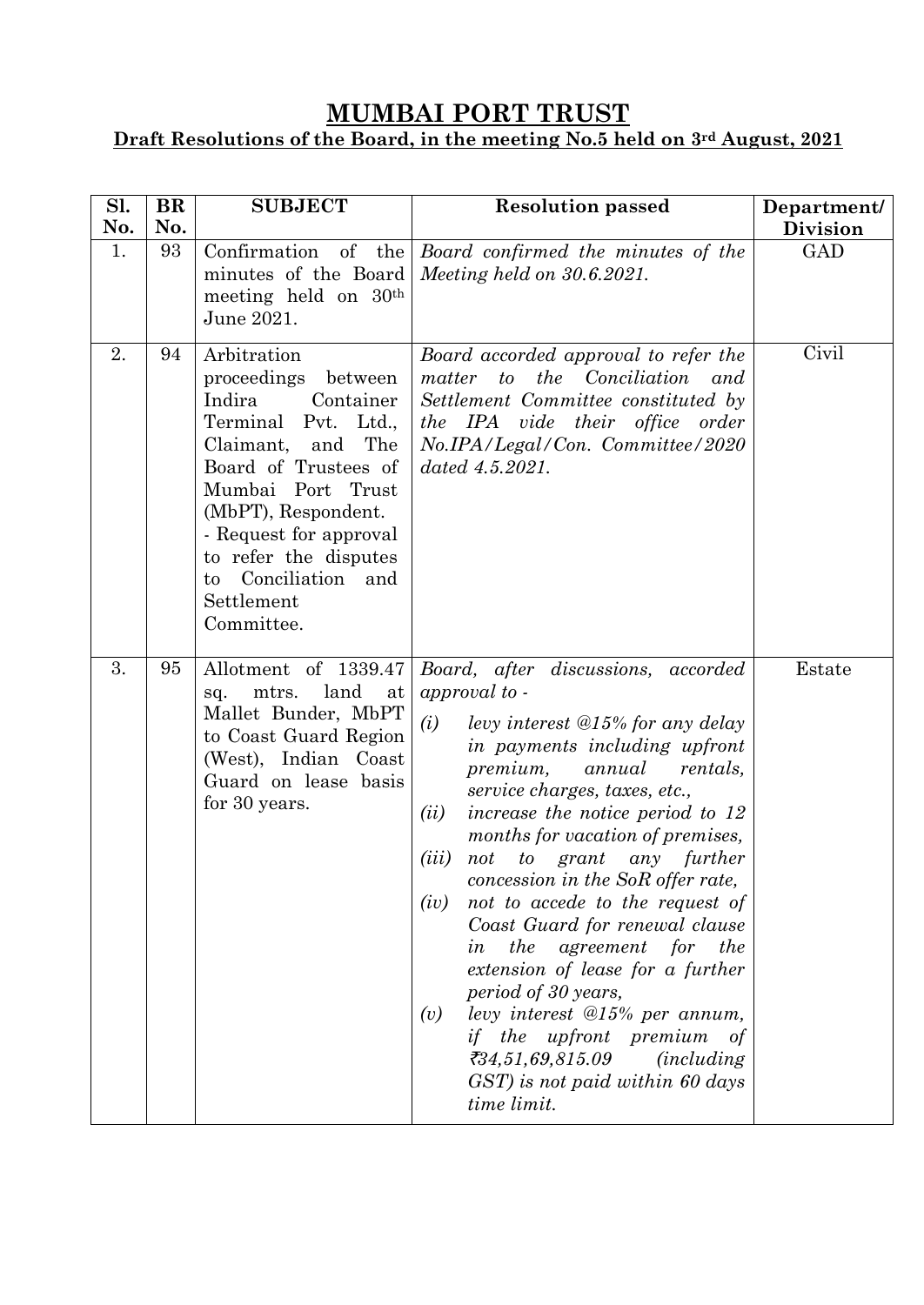## **MUMBAI PORT TRUST**

## **Draft Resolutions of the Board, in the meeting No.5 held on 3rd August, 2021**

| Sl.<br>No. | <b>BR</b><br>No. | <b>SUBJECT</b>                                                                                                                                                                                                                                                                                 | <b>Resolution passed</b>                                                                                                                                                                                                                                                                                                                                                                                                                                                                                                                                                                                                                                                                                                                       | Department/<br><b>Division</b> |
|------------|------------------|------------------------------------------------------------------------------------------------------------------------------------------------------------------------------------------------------------------------------------------------------------------------------------------------|------------------------------------------------------------------------------------------------------------------------------------------------------------------------------------------------------------------------------------------------------------------------------------------------------------------------------------------------------------------------------------------------------------------------------------------------------------------------------------------------------------------------------------------------------------------------------------------------------------------------------------------------------------------------------------------------------------------------------------------------|--------------------------------|
| 1.         | 93               | minutes of the Board<br>meeting held on 30 <sup>th</sup><br>June 2021.                                                                                                                                                                                                                         | Confirmation of the <i>Board confirmed the minutes of the</i><br>Meeting held on $30.6.2021$ .                                                                                                                                                                                                                                                                                                                                                                                                                                                                                                                                                                                                                                                 | <b>GAD</b>                     |
| 2.         | 94               | Arbitration<br>proceedings<br>between<br>Indira<br>Container<br>Terminal Pvt. Ltd.,<br>The<br>Claimant,<br>and<br>Board of Trustees of<br>Mumbai Port Trust<br>(MbPT), Respondent.<br>- Request for approval<br>to refer the disputes<br>Conciliation<br>and<br>to<br>Settlement<br>Committee. | Board accorded approval to refer the<br>matter to the Conciliation<br>and<br>Settlement Committee constituted by<br>the IPA vide their office order<br>No.IPA/Legal/Con. Committee/2020<br>$dated\ 4.5.2021.$                                                                                                                                                                                                                                                                                                                                                                                                                                                                                                                                  | Civil                          |
| 3.         | 95               | Allotment of 1339.47<br>mtrs.<br>land<br>at<br>sq.<br>Mallet Bunder, MbPT<br>to Coast Guard Region<br>(West), Indian Coast<br>Guard on lease basis<br>for 30 years.                                                                                                                            | Board, after discussions, accorded<br>approval to -<br>(i)<br>levy interest $@15\%$ for any delay<br>in payments including upfront<br>premium,<br>annual<br>rentals,<br>service charges, taxes, etc.,<br>increase the notice period to 12<br>(ii)<br>months for vacation of premises,<br>(iii)<br>to grant any<br>further<br>not<br>concession in the SoR offer rate,<br>not to accede to the request of<br>(iv)<br>Coast Guard for renewal clause<br><i>the</i><br>agreement for<br><i>the</i><br>in<br>extension of lease for a further<br>period of 30 years,<br>levy interest $@15\%$ per annum,<br>(v)<br><i>if</i> the upfront premium<br>of<br>734,51,69,815.09<br><i>(including)</i><br>GST) is not paid within 60 days<br>time limit. | Estate                         |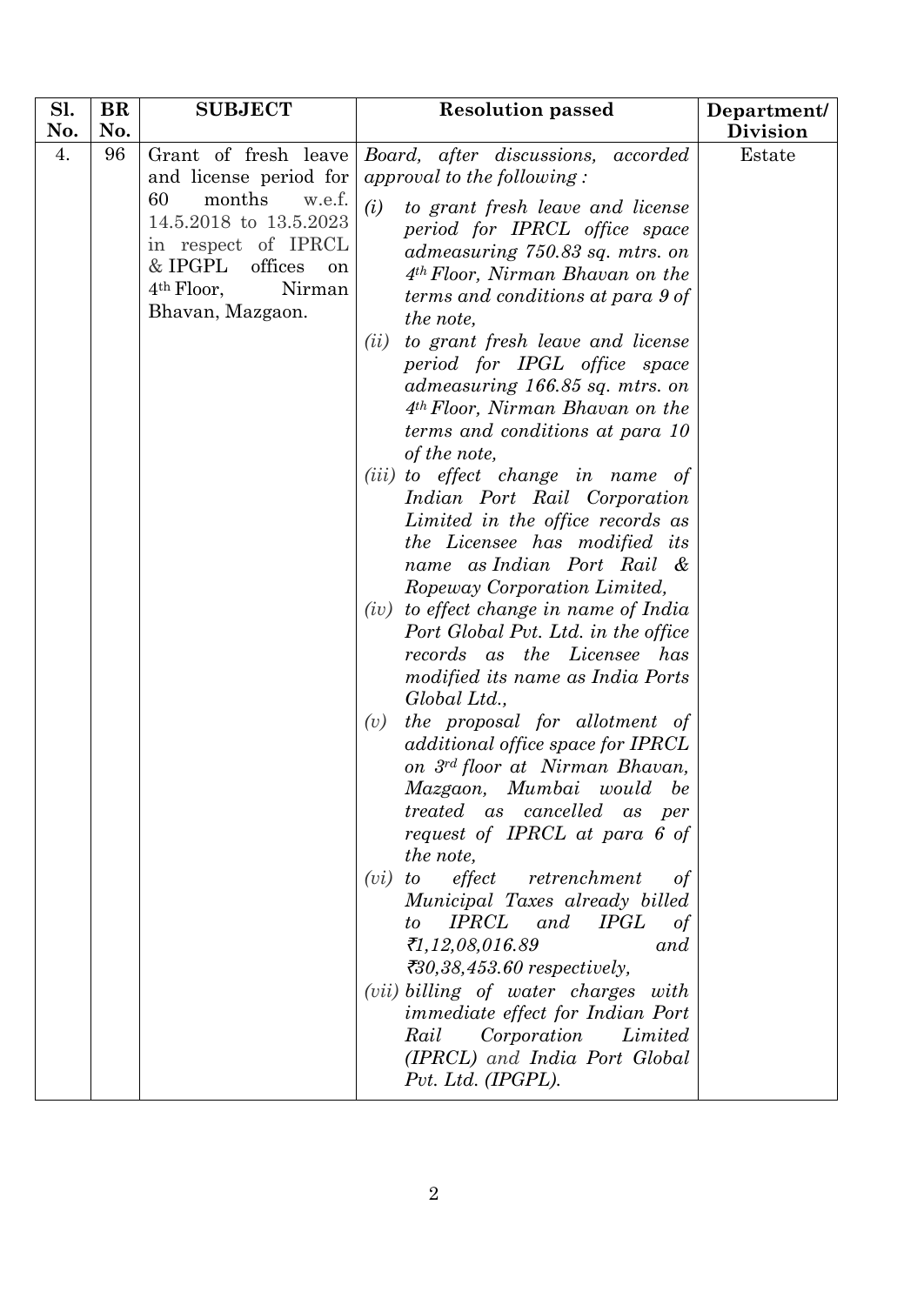| Sl. | <b>BR</b> | <b>SUBJECT</b>                                                                                                                                                                                      | <b>Resolution passed</b>                                                                                                                                                                                                                                                                                                                                                                                                                                                                                                                                                                                                                                                                                                                                                                                                                                                                                                                                                                                                                                                                                                                                                                                                                                                                                                                                                                                                                                                                                         | Department/     |
|-----|-----------|-----------------------------------------------------------------------------------------------------------------------------------------------------------------------------------------------------|------------------------------------------------------------------------------------------------------------------------------------------------------------------------------------------------------------------------------------------------------------------------------------------------------------------------------------------------------------------------------------------------------------------------------------------------------------------------------------------------------------------------------------------------------------------------------------------------------------------------------------------------------------------------------------------------------------------------------------------------------------------------------------------------------------------------------------------------------------------------------------------------------------------------------------------------------------------------------------------------------------------------------------------------------------------------------------------------------------------------------------------------------------------------------------------------------------------------------------------------------------------------------------------------------------------------------------------------------------------------------------------------------------------------------------------------------------------------------------------------------------------|-----------------|
| No. | No.       |                                                                                                                                                                                                     |                                                                                                                                                                                                                                                                                                                                                                                                                                                                                                                                                                                                                                                                                                                                                                                                                                                                                                                                                                                                                                                                                                                                                                                                                                                                                                                                                                                                                                                                                                                  | <b>Division</b> |
| 4.  | 96        | Grant of fresh leave<br>and license period for<br>60<br>months<br>w.e.f.<br>14.5.2018 to 13.5.2023<br>in respect of IPRCL<br>& IPGPL<br>offices<br>on<br>$4th$ Floor,<br>Nirman<br>Bhavan, Mazgaon. | Board, after discussions, accorded<br>approval to the following:<br>(i)<br>to grant fresh leave and license<br>period for IPRCL office space<br>admeasuring 750.83 sq. mtrs. on<br>$4th Floor$ , Nirman Bhavan on the<br>terms and conditions at para 9 of<br>the note,<br>to grant fresh leave and license<br>(ii)<br>period for IPGL office space<br>admeasuring 166.85 sq. mtrs. on<br>4 <sup>th</sup> Floor, Nirman Bhavan on the<br>terms and conditions at para 10<br>of the note,<br>( <i>iii</i> ) to effect change in name of<br>Indian Port Rail Corporation<br>Limited in the office records as<br>the Licensee has modified its<br>name as Indian Port Rail &<br>Ropeway Corporation Limited,<br>to effect change in name of India<br>(iv)<br>Port Global Pvt. Ltd. in the office<br>records as the Licensee has<br><i>modified its name as India Ports</i><br>Global Ltd.,<br>the proposal for allotment of<br>(v)<br>additional office space for IPRCL<br>on 3rd floor at Nirman Bhavan,<br>Mazgaon, Mumbai would be<br><i>treated</i> as <i>cancelled</i> as <i>per</i><br>request of IPRCL at para 6 of<br>the note,<br>effect<br>(vi)<br>retrenchment<br>to<br>0t<br>Municipal Taxes already billed<br><b>IPRCL</b> and<br><i>IPGL</i><br>to<br>of<br>₹1,12,08,016.89<br>and<br>₹30,38,453.60 respectively,<br>( <i>vii</i> ) billing of water charges with<br><i>immediate effect for Indian Port</i><br>Corporation<br>Rail<br>Limited<br>(IPRCL) and India Port Global<br>Pvt. Ltd. (IPGPL). | Estate          |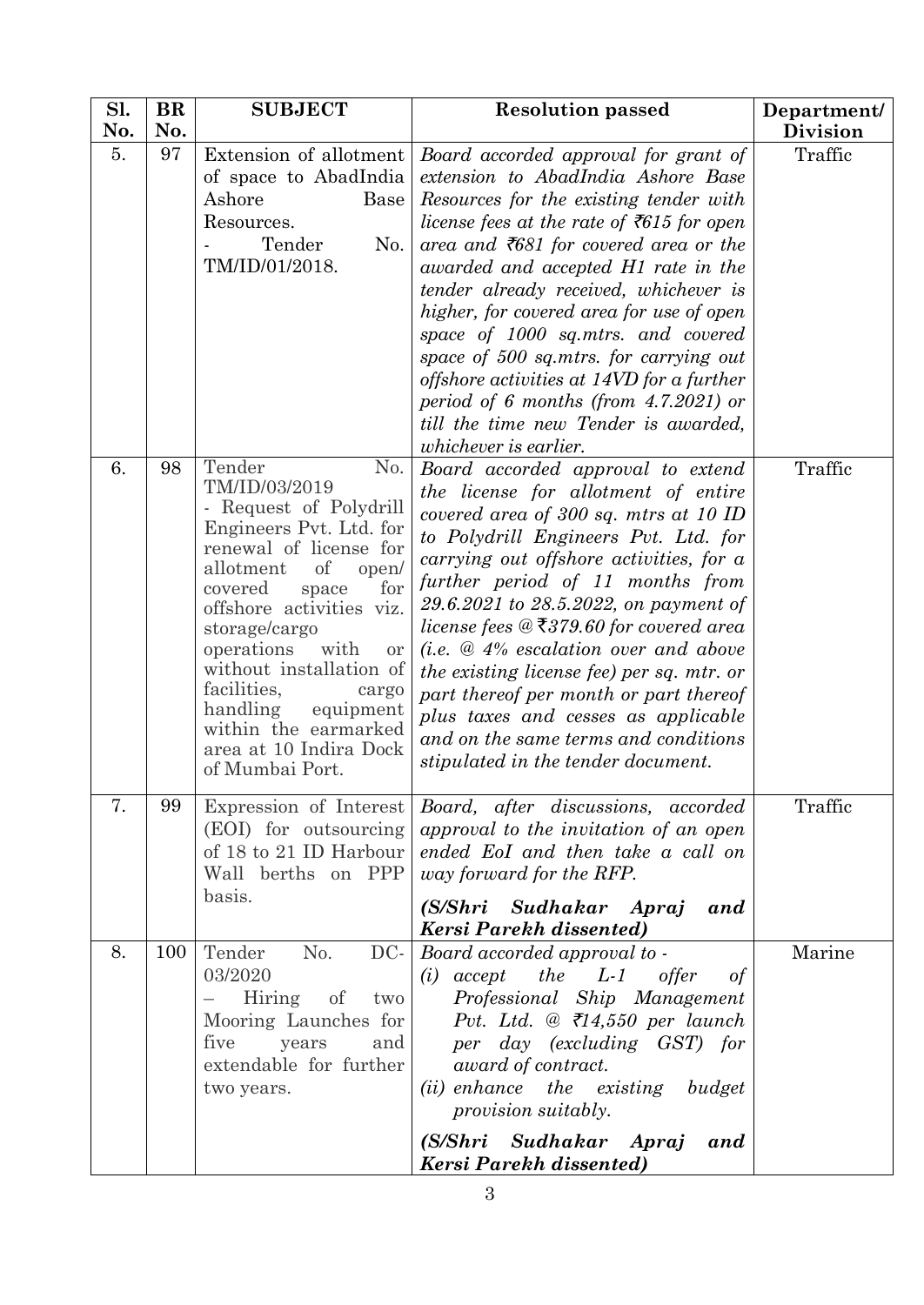| Sl.<br>No. | <b>BR</b><br>No. | <b>SUBJECT</b>                                                                                                                                                                                                                                                                                                                                                                                 | <b>Resolution passed</b>                                                                                                                                                                                                                                                                                                                                                                                                                                                                                                                                                                                     | Department/<br><b>Division</b> |
|------------|------------------|------------------------------------------------------------------------------------------------------------------------------------------------------------------------------------------------------------------------------------------------------------------------------------------------------------------------------------------------------------------------------------------------|--------------------------------------------------------------------------------------------------------------------------------------------------------------------------------------------------------------------------------------------------------------------------------------------------------------------------------------------------------------------------------------------------------------------------------------------------------------------------------------------------------------------------------------------------------------------------------------------------------------|--------------------------------|
| 5.         | 97               | Extension of allotment<br>of space to AbadIndia<br>Ashore<br><b>Base</b><br>Resources.<br>Tender<br>No.<br>TM/ID/01/2018.                                                                                                                                                                                                                                                                      | Board accorded approval for grant of<br>extension to AbadIndia Ashore Base<br>Resources for the existing tender with<br>license fees at the rate of $\overline{5615}$ for open<br>area and $\bar{z}681$ for covered area or the<br>awarded and accepted H1 rate in the<br>tender already received, whichever is<br>higher, for covered area for use of open<br>space of 1000 sq.mtrs. and covered<br>space of 500 sq.mtrs. for carrying out<br>offshore activities at 14VD for a further<br>period of 6 months (from $4.7.2021$ ) or<br>till the time new Tender is awarded,<br><i>whichever is earlier.</i> | Traffic                        |
| 6.         | 98               | Tender<br>No.<br>TM/ID/03/2019<br>- Request of Polydrill<br>Engineers Pvt. Ltd. for<br>renewal of license for<br>of<br>allotment<br>open/<br>covered<br>for<br>space<br>offshore activities viz.<br>storage/cargo<br>operations<br>with<br>or<br>without installation of<br>facilities,<br>cargo<br>handling<br>equipment<br>within the earmarked<br>area at 10 Indira Dock<br>of Mumbai Port. | Board accorded approval to extend<br>the license for allotment of entire<br>covered area of 300 sq. mtrs at 10 ID<br>to Polydrill Engineers Pvt. Ltd. for<br>carrying out offshore activities, for a<br>further period of 11 months from<br>29.6.2021 to 28.5.2022, on payment of<br>license fees $@$ ₹379.60 for covered area<br>$(i.e. \& 4\%$ escalation over and above<br>the existing license fee) per sq. mtr. or<br>part thereof per month or part thereof<br>plus taxes and cesses as applicable<br>and on the same terms and conditions<br>stipulated in the tender document.                       | Traffic                        |
| 7.         | 99               | Expression of Interest<br>(EOI) for outsourcing<br>of 18 to 21 ID Harbour<br>Wall berths on PPP<br>basis.                                                                                                                                                                                                                                                                                      | Board, after discussions, accorded<br>approval to the invitation of an open<br>ended EoI and then take a call on<br>way forward for the RFP.<br>(S/Shri Sudhakar Apraj<br>and<br>Kersi Parekh dissented)                                                                                                                                                                                                                                                                                                                                                                                                     | Traffic                        |
| 8.         | 100              | No.<br>DC-<br>Tender<br>03/2020<br>Hiring of<br>two<br>Mooring Launches for<br>five<br>and<br>years<br>extendable for further<br>two years.                                                                                                                                                                                                                                                    | Board accorded approval to -<br>$accept$ the $L-1$<br>offer<br>(i)<br>of<br>Professional Ship Management<br>Pvt. Ltd. @ $\bar{\mathcal{L}}14,550$ per launch<br>per day (excluding GST) for<br>award of contract.<br>(ii) enhance the existing budget<br>provision suitably.<br>(S/Shri Sudhakar Apraj<br>and<br>Kersi Parekh dissented)                                                                                                                                                                                                                                                                     | Marine                         |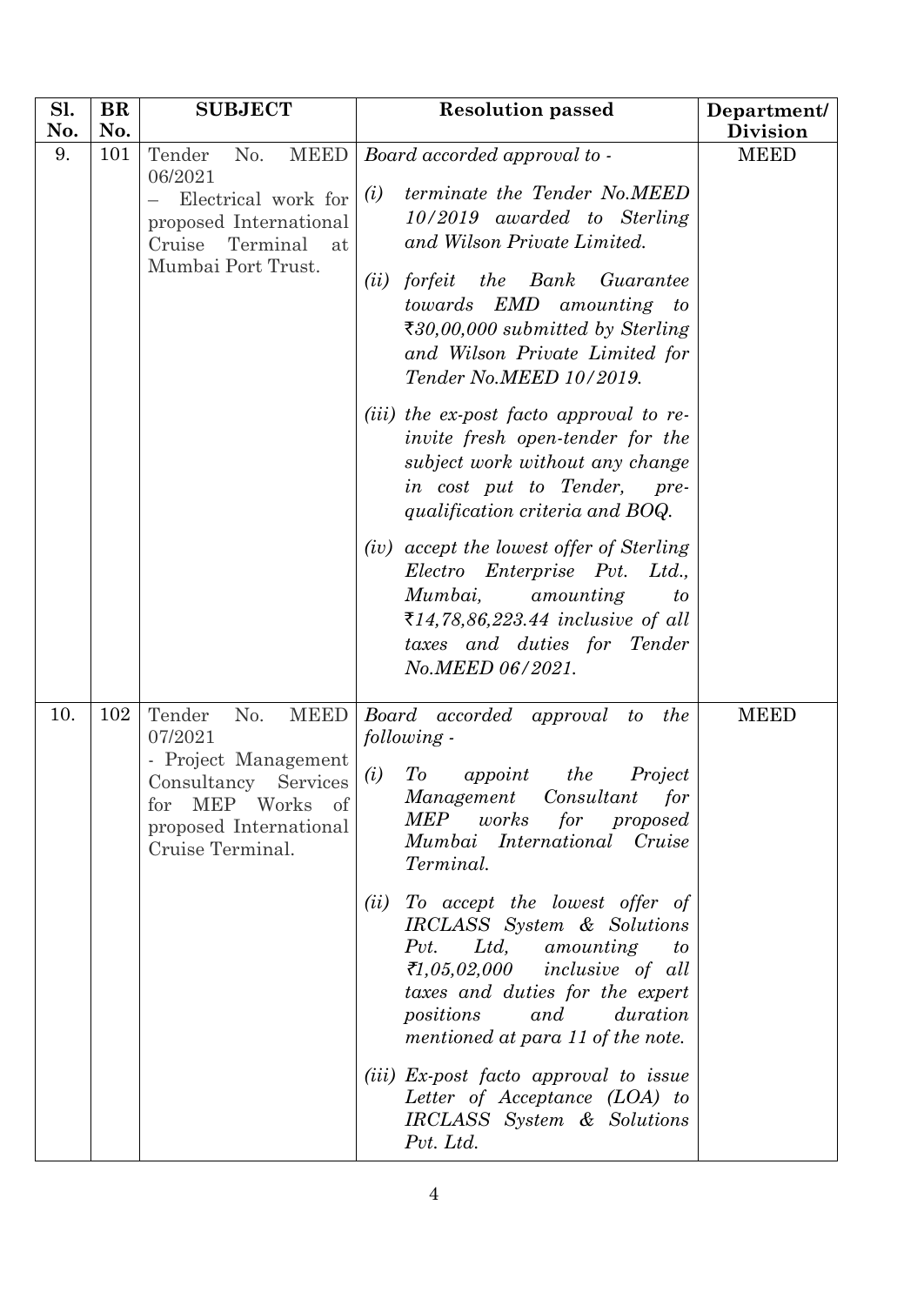| <b>BR</b> | <b>SUBJECT</b>                                                                                                                                                  | <b>Resolution passed</b>                                                                                                                                                                                                                                                                                                                                                                                                                                                                                                             | Department/                                                             |
|-----------|-----------------------------------------------------------------------------------------------------------------------------------------------------------------|--------------------------------------------------------------------------------------------------------------------------------------------------------------------------------------------------------------------------------------------------------------------------------------------------------------------------------------------------------------------------------------------------------------------------------------------------------------------------------------------------------------------------------------|-------------------------------------------------------------------------|
|           |                                                                                                                                                                 |                                                                                                                                                                                                                                                                                                                                                                                                                                                                                                                                      | <b>Division</b>                                                         |
| 101       | No.<br>Tender<br>06/2021<br>Electrical work for<br>proposed International<br>Cruise<br>Terminal<br>at<br>Mumbai Port Trust.                                     | terminate the Tender No.MEED<br>(i)<br>$10/2019$ awarded to Sterling<br>and Wilson Private Limited.<br>the<br>Bank<br>forfeit<br>Guarantee<br>(ii)<br>towards EMD amounting<br>$\boldsymbol{\mathit{to}}$<br>₹30,00,000 submitted by Sterling<br>and Wilson Private Limited for<br>Tender No.MEED 10/2019.<br>( <i>iii</i> ) the ex-post facto approval to re-<br><i>invite</i> fresh open-tender for the<br>subject work without any change<br>in cost put to Tender,<br>pre-                                                       | <b>MEED</b>                                                             |
|           |                                                                                                                                                                 | qualification criteria and BOQ.<br>(iv) accept the lowest offer of Sterling<br>Electro Enterprise Pvt.<br>Ltd.,<br>Mumbai,<br>amounting<br>to<br>₹14,78,86,223.44 inclusive of all<br>taxes and duties for Tender<br>No.MEED 06/2021.                                                                                                                                                                                                                                                                                                |                                                                         |
| 102       | <b>MEED</b><br>Tender<br>No.<br>07/2021<br>- Project Management<br>Consultancy Services<br>MEP Works<br>of<br>for<br>proposed International<br>Cruise Terminal. | Board accorded approval<br>the<br>to<br>following -<br>T o<br>Project<br>(i)<br>appoint<br>the<br>Management Consultant<br>for<br>MEP<br>works<br>for<br>proposed<br>Mumbai International Cruise<br>Terminal.<br>(ii)<br>To accept the lowest offer of<br>IRCLASS System & Solutions<br>Pvt. Ltd, amounting<br>to<br>₹1,05,02,000 inclusive of all<br>taxes and duties for the expert<br>and<br>duration<br>positions<br>mentioned at para 11 of the note.<br>(iii) Ex-post facto approval to issue<br>Letter of Acceptance (LOA) to | <b>MEED</b>                                                             |
|           | No.                                                                                                                                                             | <b>MEED</b>                                                                                                                                                                                                                                                                                                                                                                                                                                                                                                                          | Board accorded approval to -<br>IRCLASS System & Solutions<br>Pvt. Ltd. |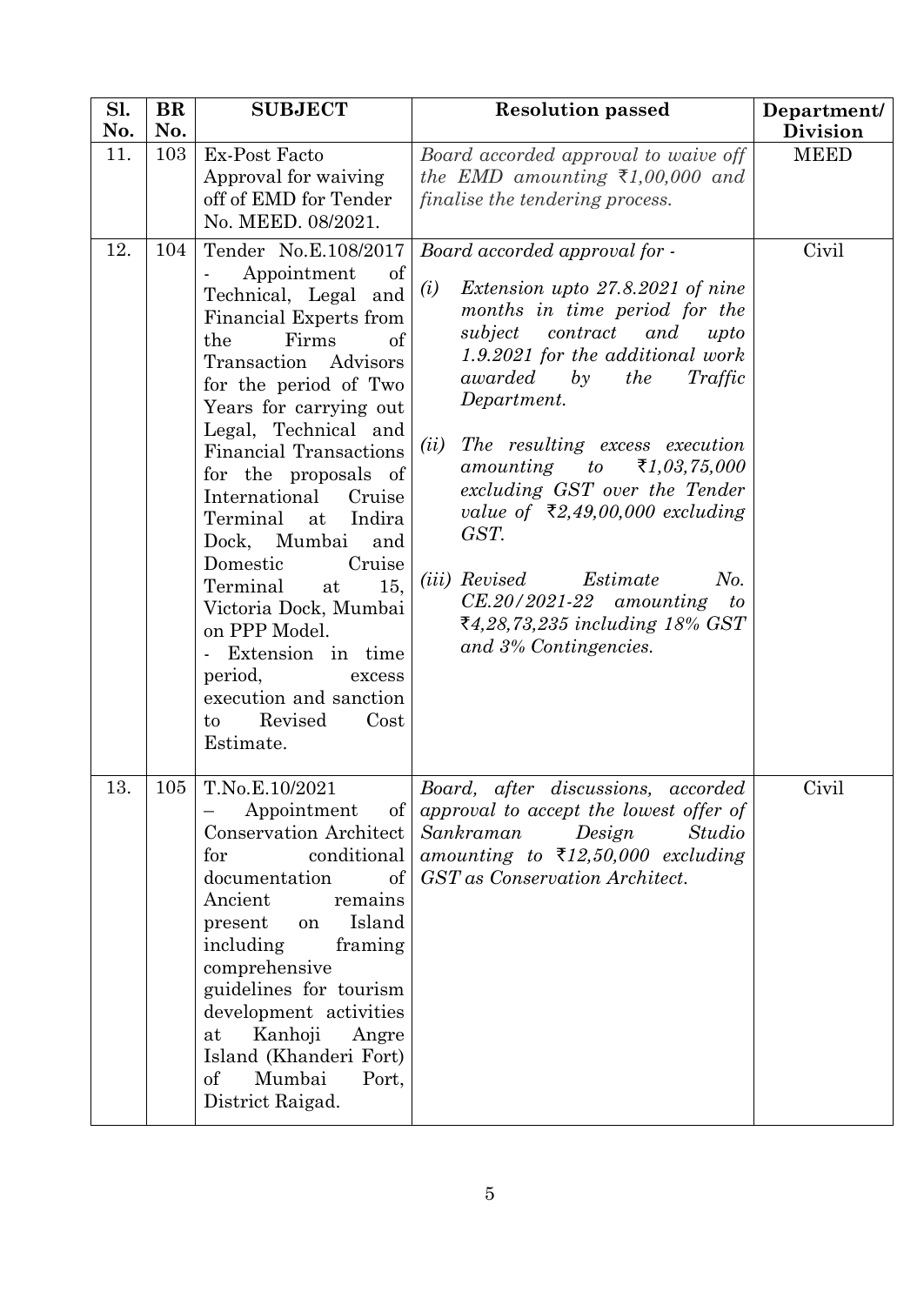| Sl.<br>No. | <b>BR</b><br>No. | <b>SUBJECT</b>                                                                                                                                                                                                                                                                                                                                                                                                                                                                                                                                                    | <b>Resolution passed</b>                                                                                                                                                                                                                                                                                                                                                                                                                                                                                                                                                       | Department/<br><b>Division</b> |
|------------|------------------|-------------------------------------------------------------------------------------------------------------------------------------------------------------------------------------------------------------------------------------------------------------------------------------------------------------------------------------------------------------------------------------------------------------------------------------------------------------------------------------------------------------------------------------------------------------------|--------------------------------------------------------------------------------------------------------------------------------------------------------------------------------------------------------------------------------------------------------------------------------------------------------------------------------------------------------------------------------------------------------------------------------------------------------------------------------------------------------------------------------------------------------------------------------|--------------------------------|
| 11.        | 103              | Ex-Post Facto<br>Approval for waiving<br>off of EMD for Tender<br>No. MEED. 08/2021.                                                                                                                                                                                                                                                                                                                                                                                                                                                                              | Board accorded approval to waive off<br>the EMD amounting $\overline{\xi}1,00,000$ and<br>finalise the tendering process.                                                                                                                                                                                                                                                                                                                                                                                                                                                      | <b>MEED</b>                    |
| 12.        | 104              | Tender No.E.108/2017<br>of<br>Appointment<br>Technical, Legal and<br>Financial Experts from<br>Firms<br>of<br>the<br>Advisors<br>Transaction<br>for the period of Two<br>Years for carrying out<br>Legal, Technical and<br><b>Financial Transactions</b><br>for the proposals of<br>International<br>Cruise<br>Terminal<br>Indira<br>at<br>Dock, Mumbai<br>and<br>Domestic<br>Cruise<br>15,<br>Terminal<br>at<br>Victoria Dock, Mumbai<br>on PPP Model.<br>Extension in time<br>period,<br>excess<br>execution and sanction<br>Revised<br>Cost<br>to<br>Estimate. | Board accorded approval for -<br>Extension upto 27.8.2021 of nine<br>(i)<br>months in time period for the<br>subject<br>contract<br>and<br>upto<br>1.9.2021 for the additional work<br>awarded<br>the<br>by<br>Traffic<br>Department.<br>The resulting excess execution<br>(ii)<br>₹1,03,75,000<br>amounting<br>to<br>excluding GST over the Tender<br>value of $\bar{\xi}2,49,00,000$ excluding<br>GST.<br>No.<br>( <i>iii</i> ) Revised<br>Estimate<br>$CE.20/2021-22$ amounting<br>$\mathfrak{c}_{\mathfrak{o}}$<br>₹4,28,73,235 including 18% GST<br>and 3% Contingencies. | Civil                          |
| 13.        |                  | $105$   T.No.E.10/2021<br>of<br>Appointment<br>Conservation Architect<br>for<br>conditional<br>documentation<br>$\sigma$<br>Ancient<br>remains<br>Island<br>present<br>on<br>including<br>framing<br>comprehensive<br>guidelines for tourism<br>development activities<br>Kanhoji<br>at<br>Angre<br>Island (Khanderi Fort)<br>Mumbai<br>Port,<br>οf<br>District Raigad.                                                                                                                                                                                           | Board, after discussions, accorded<br>approval to accept the lowest offer of<br>Sankraman<br>Design<br>Studio<br>amounting to $\overline{\xi}12,50,000$ excluding<br>GST as Conservation Architect.                                                                                                                                                                                                                                                                                                                                                                            | Civil                          |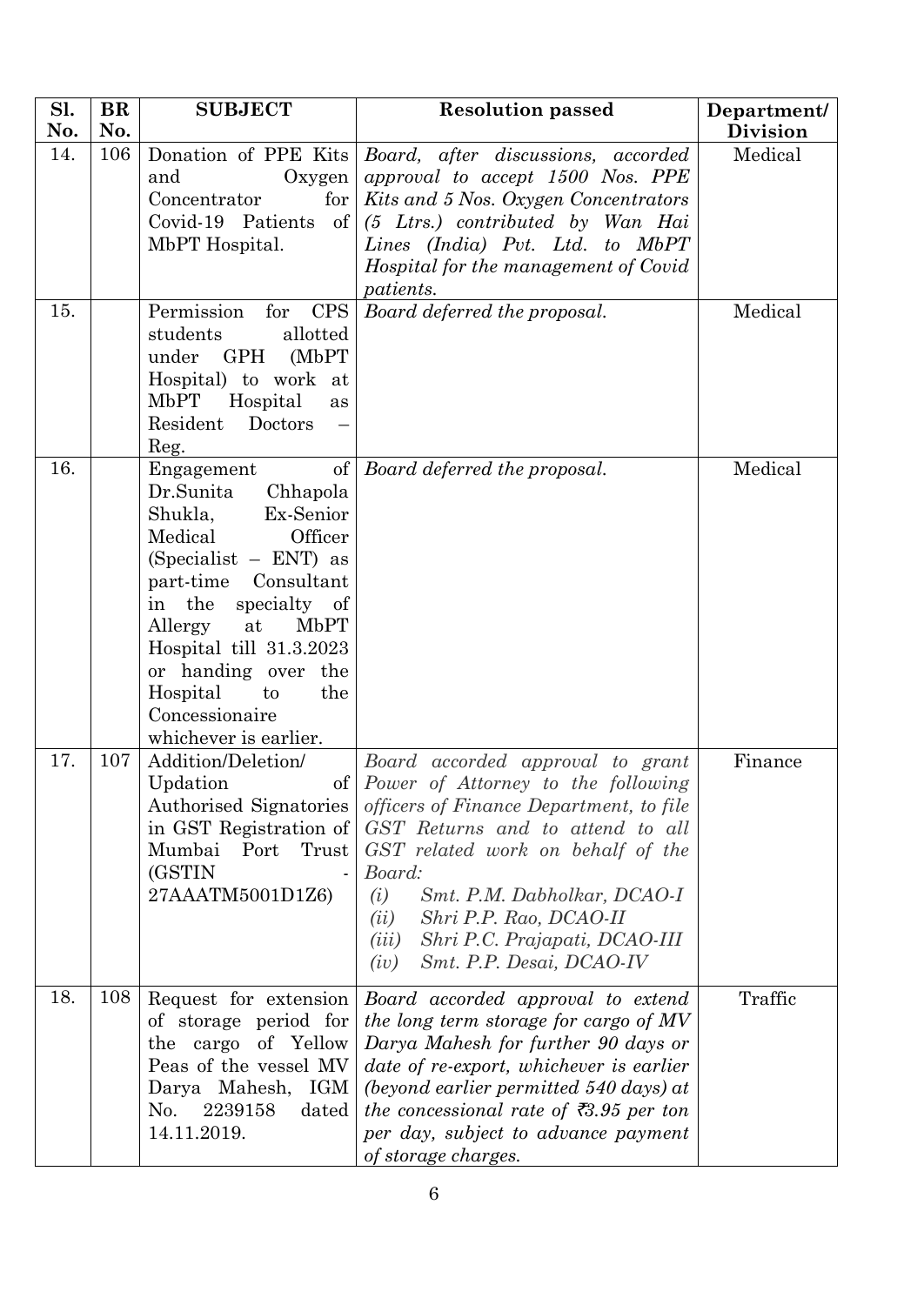| Sl. | <b>BR</b> | <b>SUBJECT</b>                                                                                                                                                                                                                                                                                                 | <b>Resolution passed</b>                                                                                                                                                                                                                                                                                                                                      | Department/     |
|-----|-----------|----------------------------------------------------------------------------------------------------------------------------------------------------------------------------------------------------------------------------------------------------------------------------------------------------------------|---------------------------------------------------------------------------------------------------------------------------------------------------------------------------------------------------------------------------------------------------------------------------------------------------------------------------------------------------------------|-----------------|
| No. | No.       |                                                                                                                                                                                                                                                                                                                |                                                                                                                                                                                                                                                                                                                                                               | <b>Division</b> |
| 14. | 106       | Oxygen<br>and<br>Concentrator<br>for $\vert$<br>Covid-19 Patients<br>of  <br>MbPT Hospital.                                                                                                                                                                                                                    | Donation of PPE Kits   Board, after discussions, accorded<br>approval to accept 1500 Nos. PPE<br>Kits and 5 Nos. Oxygen Concentrators<br>(5 Ltrs.) contributed by Wan Hai<br>Lines (India) Pvt. Ltd. to MbPT<br>Hospital for the management of Covid<br><i>patients.</i>                                                                                      | Medical         |
| 15. |           | <b>CPS</b><br>Permission for<br>students<br>allotted<br>under<br>$\rm GPH$<br>(MbPT)<br>Hospital) to work at<br>MbPT<br>Hospital<br>as<br>Resident<br>Doctors<br>Reg.                                                                                                                                          | Board deferred the proposal.                                                                                                                                                                                                                                                                                                                                  | Medical         |
| 16. |           | of<br>Engagement<br>Dr.Sunita<br>Chhapola<br>Ex-Senior<br>Shukla,<br>Officer<br>Medical<br>(Specialist - ENT) as<br>part-time Consultant<br>in the specialty of<br>Allergy<br>at<br>MbPT<br>Hospital till 31.3.2023<br>or handing over the<br>Hospital<br>the<br>to<br>Concessionaire<br>whichever is earlier. | Board deferred the proposal.                                                                                                                                                                                                                                                                                                                                  | Medical         |
| 17. | 107       | Addition/Deletion/<br>Updation<br>Authorised Signatories<br>in GST Registration of<br>Mumbai<br>Trust<br>Port<br>(GSTIN<br>27AAATM5001D1Z6)                                                                                                                                                                    | Board accorded approval to grant<br>of Power of Attorney to the following<br>officers of Finance Department, to file<br>GST Returns and to attend to all<br>GST related work on behalf of the<br>Board:<br>Smt. P.M. Dabholkar, DCAO-I<br>(i)<br>Shri P.P. Rao, DCAO-II<br>(ii)<br>Shri P.C. Prajapati, DCAO-III<br>(iii)<br>Smt. P.P. Desai, DCAO-IV<br>(iv) | Finance         |
| 18. | 108       | Request for extension<br>of storage period for<br>the cargo of Yellow<br>Peas of the vessel MV<br>Darya Mahesh, IGM<br>No.<br>2239158<br>dated<br>14.11.2019.                                                                                                                                                  | Board accorded approval to extend<br>the long term storage for cargo of MV<br>Darya Mahesh for further 90 days or<br>date of re-export, whichever is earlier<br>(beyond earlier permitted $540$ days) at<br>the concessional rate of $\bar{\tau}3.95$ per ton<br>per day, subject to advance payment<br>of storage charges.                                   | Traffic         |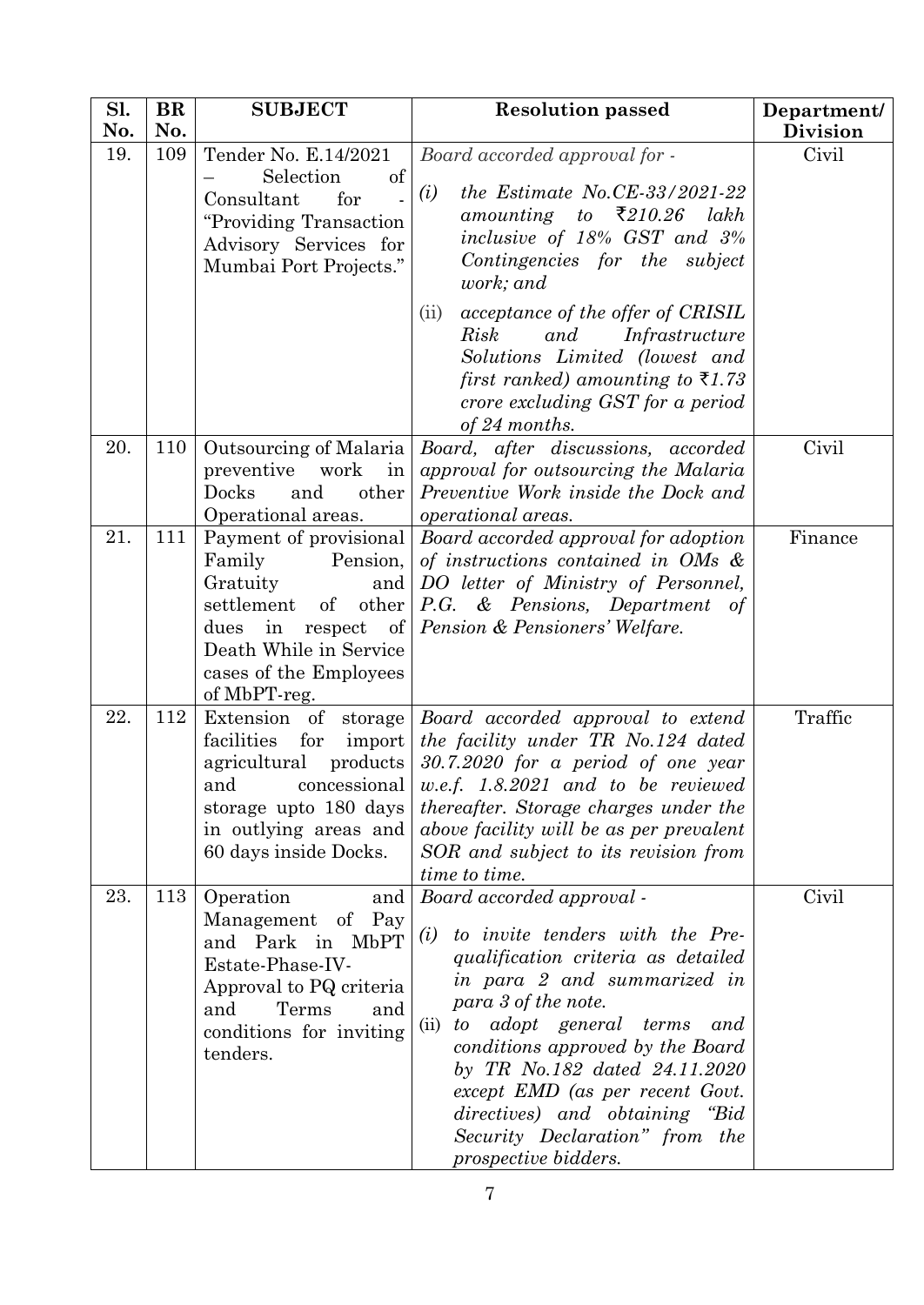| Sl.<br>No. | BR<br>No. | <b>SUBJECT</b>                                                                                                                                                                                     | <b>Resolution passed</b>                                                                                                                                                                                                                                                                                                                                                                                            | Department/<br><b>Division</b> |
|------------|-----------|----------------------------------------------------------------------------------------------------------------------------------------------------------------------------------------------------|---------------------------------------------------------------------------------------------------------------------------------------------------------------------------------------------------------------------------------------------------------------------------------------------------------------------------------------------------------------------------------------------------------------------|--------------------------------|
| 19.        | 109       | Tender No. E.14/2021<br>Selection<br>of<br>Consultant<br>for<br>"Providing Transaction<br>Advisory Services for<br>Mumbai Port Projects."                                                          | Board accorded approval for -<br>the Estimate No.CE-33/2021-22<br>(i)<br>amounting to $\bar{\xi}$ 210.26 lakh<br>inclusive of 18% GST and 3%<br>Contingencies for the subject<br>work; and<br>acceptance of the offer of CRISIL<br>(ii)<br>Infrastructure<br>Risk<br>and<br>Solutions Limited (lowest and<br>first ranked) amounting to $\bar{\tau}$ 1.73<br>crore excluding GST for a period                       | Civil                          |
| 20.        | 110       | Outsourcing of Malaria<br>preventive work<br>in<br>other<br>Docks<br>and<br>Operational areas.                                                                                                     | of 24 months.<br>Board, after discussions, accorded<br>approval for outsourcing the Malaria<br>Preventive Work inside the Dock and<br>operational areas.                                                                                                                                                                                                                                                            | Civil                          |
| 21.        | 111       | Payment of provisional<br>Family<br>Pension,<br>Gratuity<br>and<br>settlement<br>other<br>$\sigma$<br>dues<br>in<br>respect of<br>Death While in Service<br>cases of the Employees<br>of MbPT-reg. | Board accorded approval for adoption<br>of instructions contained in OMs $\&$<br>DO letter of Ministry of Personnel,<br>P.G. & Pensions, Department of<br>Pension & Pensioners' Welfare.                                                                                                                                                                                                                            | Finance                        |
| 22.        | 112       | facilities<br>for<br>import<br>agricultural<br>products<br>storage upto 180 days<br>in outlying areas and<br>60 days inside Docks.                                                                 | Extension of storage Board accorded approval to extend<br>the facility under TR No.124 dated<br>$30.7.2020$ for a period of one year<br>and concessional   $w.e.f.$ 1.8.2021 and to be reviewed<br><i>thereafter.</i> Storage charges under the<br>above facility will be as per prevalent<br>SOR and subject to its revision from<br>time to time.                                                                 | Traffic                        |
| 23.        | 113       | Operation<br>and<br>Management of Pay<br>and Park in MbPT<br>Estate-Phase-IV-<br>Approval to PQ criteria<br>and<br>Terms<br>and<br>conditions for inviting<br>tenders.                             | Board accorded approval -<br>to invite tenders with the Pre-<br>(i)<br>qualification criteria as detailed<br>in para 2 and summarized in<br>para 3 of the note.<br>to adopt general terms<br>(ii)<br>and<br>conditions approved by the Board<br>by TR No.182 dated 24.11.2020<br>except EMD (as per recent Govt.<br>directives) and obtaining "Bid<br>Security Declaration" from the<br><i>prospective bidders.</i> | Civil                          |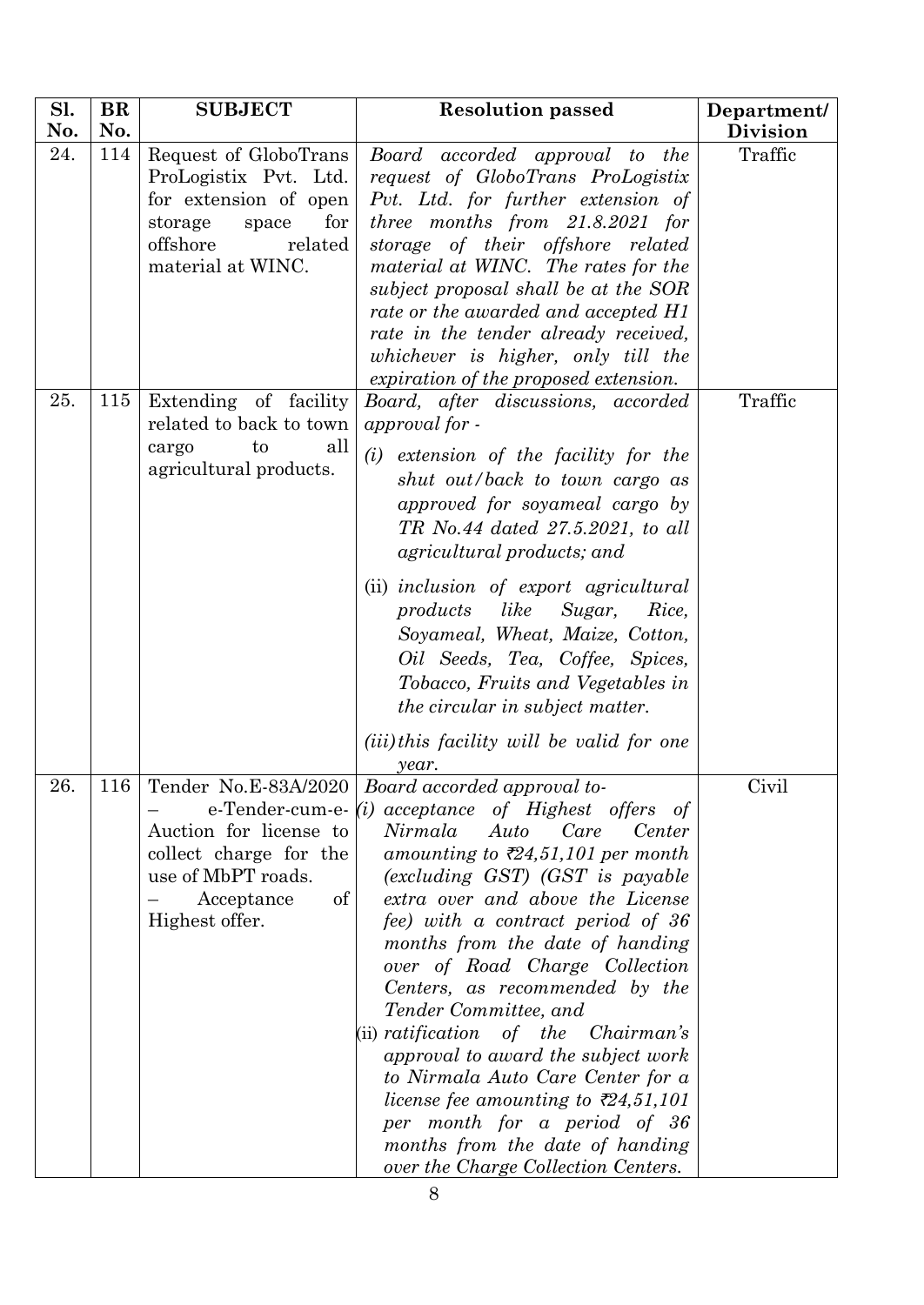| Sl. | <b>BR</b> | <b>SUBJECT</b>                                                                                                                                 | <b>Resolution passed</b>                                                                                                                                                                                                                                                                                                                                                                                                                                                                                                                                                                                                                                                                                                                    | Department/     |
|-----|-----------|------------------------------------------------------------------------------------------------------------------------------------------------|---------------------------------------------------------------------------------------------------------------------------------------------------------------------------------------------------------------------------------------------------------------------------------------------------------------------------------------------------------------------------------------------------------------------------------------------------------------------------------------------------------------------------------------------------------------------------------------------------------------------------------------------------------------------------------------------------------------------------------------------|-----------------|
| No. | No.       |                                                                                                                                                |                                                                                                                                                                                                                                                                                                                                                                                                                                                                                                                                                                                                                                                                                                                                             | <b>Division</b> |
| 24. | 114       | Request of GloboTrans<br>ProLogistix Pvt. Ltd.<br>for extension of open<br>for<br>storage<br>space<br>offshore<br>related<br>material at WINC. | Board accorded approval to the<br>request of GloboTrans ProLogistix<br>Pvt. Ltd. for further extension of<br>three months from $21.8.2021$ for<br>storage of their offshore related<br>material at WINC. The rates for the<br>subject proposal shall be at the SOR<br>rate or the awarded and accepted H1<br>rate in the tender already received,<br>whichever is higher, only till the<br>expiration of the proposed extension.                                                                                                                                                                                                                                                                                                            | Traffic         |
| 25. | 115       | Extending of facility<br>related to back to town<br>all<br>to<br>cargo<br>agricultural products.                                               | Board, after discussions, accorded<br>approval for -<br>(i)<br>extension of the facility for the<br>shut out/back to town cargo as<br>approved for soyameal cargo by<br>TR No.44 dated 27.5.2021, to all<br>agricultural products; and<br>(ii) inclusion of export agricultural<br>products like<br>Sugar,<br>Rice,<br>Soyameal, Wheat, Maize, Cotton,<br>Oil Seeds, Tea, Coffee, Spices,<br>Tobacco, Fruits and Vegetables in<br>the circular in subject matter.<br>( <i>iii</i> )this facility will be valid for one<br>year.                                                                                                                                                                                                             | Traffic         |
| 26. |           | Auction for license to<br>collect charge for the<br>use of MbPT roads.<br>Acceptance<br>of<br>Highest offer.                                   | 116 Tender No.E-83A/2020 Board accorded approval to-<br>e-Tender-cum-e- $(i)$ acceptance of Highest offers of<br>Nirmala<br>Auto<br>Care<br>Center<br>amounting to $\bar{\tau}24,51,101$ per month<br>(excluding GST) (GST is payable<br>extra over and above the License<br>fee) with a contract period of 36<br>months from the date of handing<br>over of Road Charge Collection<br>Centers, as recommended by the<br>Tender Committee, and<br>$(ii)$ ratification<br>of the<br>Chairman's<br>approval to award the subject work<br>to Nirmala Auto Care Center for a<br>license fee amounting to $\bar{\mathcal{E}}24,51,101$<br>per month for a period of 36<br>months from the date of handing<br>over the Charge Collection Centers. | Civil           |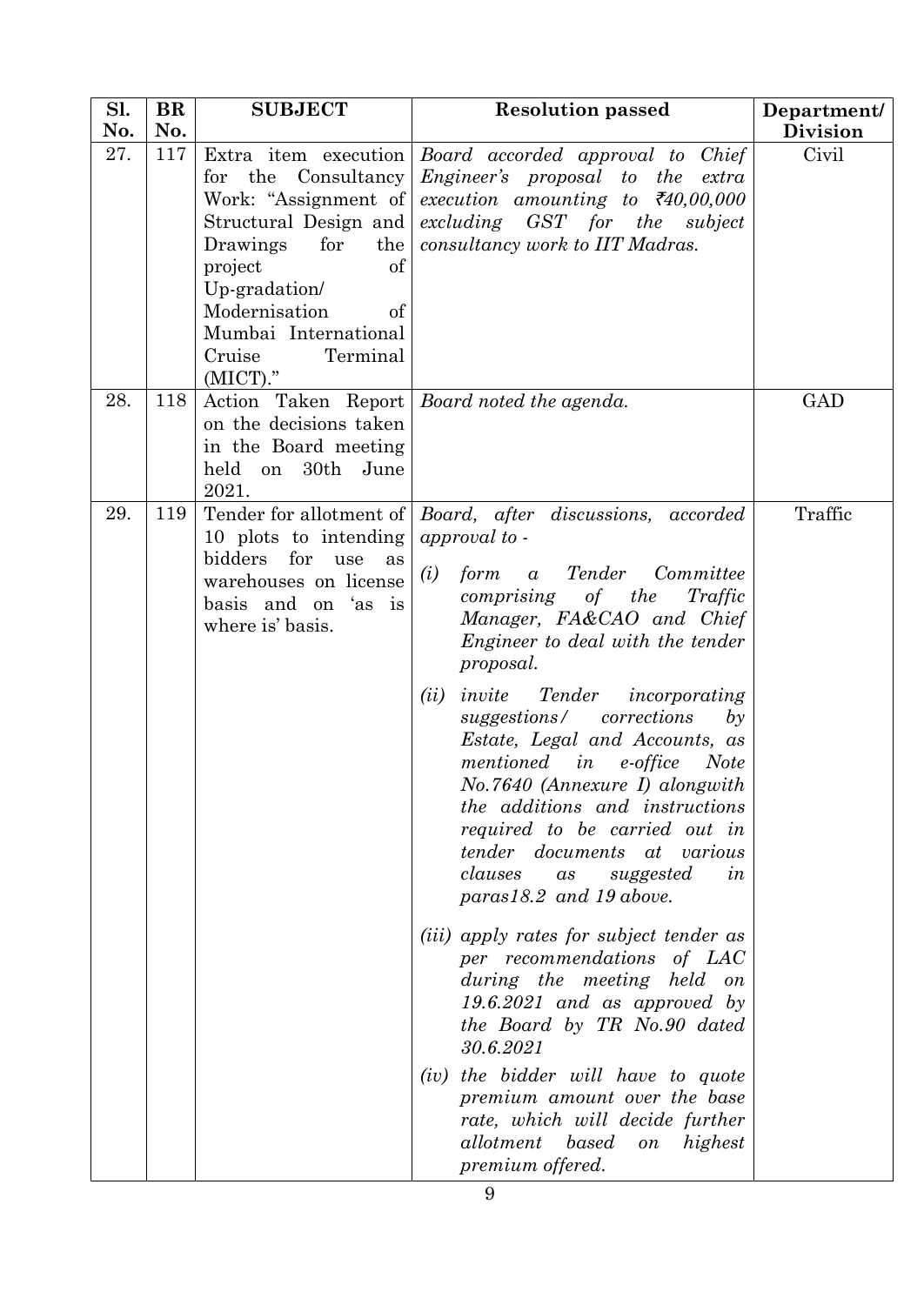| Sl.<br>No. | BR<br>No. | <b>SUBJECT</b>                                                                                                                                                                                       | <b>Resolution passed</b>                                                                                                                                                                                                                                                                                                                                                                                                                                                                                                                                                                                                                                                                                                                                                                                                                                                                                                                                                                            | Department/<br><b>Division</b> |
|------------|-----------|------------------------------------------------------------------------------------------------------------------------------------------------------------------------------------------------------|-----------------------------------------------------------------------------------------------------------------------------------------------------------------------------------------------------------------------------------------------------------------------------------------------------------------------------------------------------------------------------------------------------------------------------------------------------------------------------------------------------------------------------------------------------------------------------------------------------------------------------------------------------------------------------------------------------------------------------------------------------------------------------------------------------------------------------------------------------------------------------------------------------------------------------------------------------------------------------------------------------|--------------------------------|
| 27.        | 117       | the<br>Consultancy<br>for<br>Structural Design and<br>Drawings<br>for<br>the  <br>of<br>project<br>Up-gradation/<br>Modernisation<br>of<br>Mumbai International<br>Cruise<br>Terminal<br>$(MICT)$ ." | Extra item execution Board accorded approval to Chief<br>Engineer's proposal to the extra<br>Work: "Assignment of execution amounting to $\bar{\tau}40,00,000$<br>excluding GST for the<br>subject<br>consultancy work to IIT Madras.                                                                                                                                                                                                                                                                                                                                                                                                                                                                                                                                                                                                                                                                                                                                                               | Civil                          |
| 28.        | 118       | on the decisions taken<br>in the Board meeting<br>held on<br>30th June<br>2021.                                                                                                                      | Action Taken Report   Board noted the agenda.                                                                                                                                                                                                                                                                                                                                                                                                                                                                                                                                                                                                                                                                                                                                                                                                                                                                                                                                                       | <b>GAD</b>                     |
| 29.        | 119       | Tender for allotment of<br>10 plots to intending<br>bidders for<br>use<br>as<br>warehouses on license<br>basis and on 'as is<br>where is' basis.                                                     | Board, after discussions, accorded<br>approval to -<br>Tender<br>form<br>Committee<br>(i)<br>$\alpha$<br>comprising of the<br>Traffic<br>Manager, FA&CAO and Chief<br>Engineer to deal with the tender<br>proposal.<br>(ii)<br>invite<br>Tender<br>incorporating<br>suggestions/ corrections<br>$b\mathfrak{y}$<br>Estate, Legal and Accounts, as<br>mentioned<br>e-office<br>in<br><b>Note</b><br>No.7640 (Annexure I) alongwith<br><i>the additions and instructions</i><br>required to be carried out in<br><i>tender documents at various</i><br>clauses<br>as<br>suggested<br>in<br>$paras 18.2$ and 19 above.<br>( <i>iii</i> ) apply rates for subject tender as<br>per recommendations of LAC<br>during the meeting held on<br>$19.6.2021$ and as approved by<br>the Board by TR No.90 dated<br>30.6.2021<br>(iv) the bidder will have to quote<br>premium amount over the base<br>rate, which will decide further<br>allotment<br>based<br>highest<br>$\mathfrak{o} n$<br>premium offered. | Traffic                        |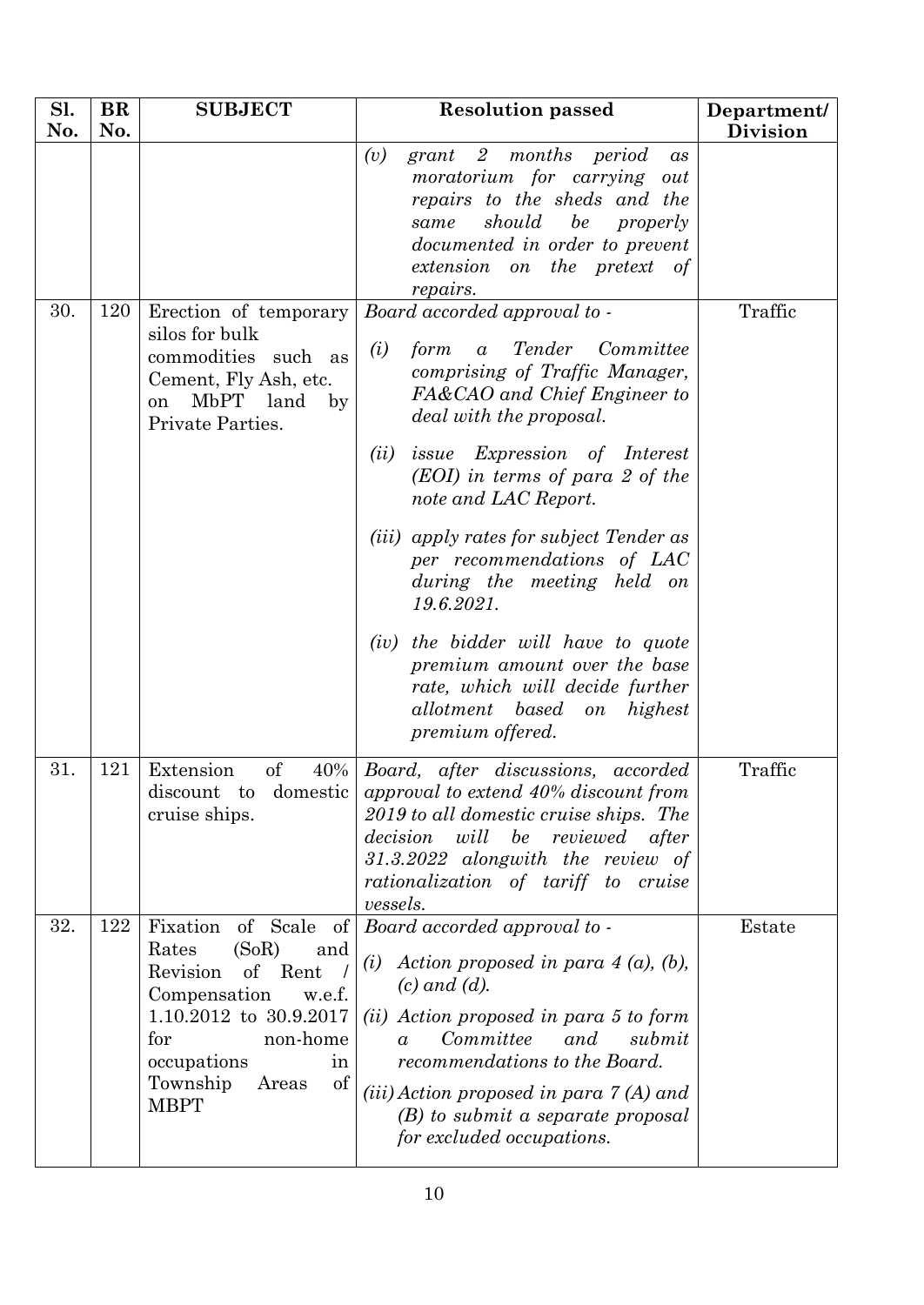| Sl.<br>No. | <b>BR</b><br>No. | <b>SUBJECT</b>                                                                                                                                                                                                      | <b>Resolution passed</b>                                                                                                                                                                                                                                                                                                                                                                                                                                                                                                                                                             | Department/<br><b>Division</b> |
|------------|------------------|---------------------------------------------------------------------------------------------------------------------------------------------------------------------------------------------------------------------|--------------------------------------------------------------------------------------------------------------------------------------------------------------------------------------------------------------------------------------------------------------------------------------------------------------------------------------------------------------------------------------------------------------------------------------------------------------------------------------------------------------------------------------------------------------------------------------|--------------------------------|
|            |                  |                                                                                                                                                                                                                     | (v)<br>$grant \quad 2 \quad months$<br>period<br>a <sub>s</sub><br>moratorium for carrying<br>out<br>repairs to the sheds and the<br>should<br>be<br>properly<br>same<br>documented in order to prevent<br>extension on the pretext of<br>repairs.                                                                                                                                                                                                                                                                                                                                   |                                |
| 30.        | 120              | Erection of temporary<br>silos for bulk<br>commodities such as<br>Cement, Fly Ash, etc.<br><b>MbPT</b><br>land<br>by<br>on<br>Private Parties.                                                                      | Board accorded approval to -<br>(i)<br>form<br>Tender<br>Committee<br>$\alpha$<br>comprising of Traffic Manager,<br>FA&CAO and Chief Engineer to<br>deal with the proposal.<br>(ii)<br><i>issue Expression of Interest</i><br>(EOI) in terms of para 2 of the<br>note and LAC Report.<br>( <i>iii</i> ) apply rates for subject Tender as<br>per recommendations of LAC<br>during the meeting held on<br>19.6.2021.<br>the bidder will have to quote<br>(iv)<br>premium amount over the base<br>rate, which will decide further<br>allotment based on<br>highest<br>premium offered. | Traffic                        |
| 31.        | 121              | Extension<br>of<br>40%<br>discount<br>domestic<br>$\mathbf{t}$<br>cruise ships.                                                                                                                                     | Board, after discussions,<br>accorded<br>approval to extend 40% discount from<br>2019 to all domestic cruise ships. The<br>decision<br>will<br>be<br>reviewed<br>after<br>$31.3.2022$ alongwith the review of<br>rationalization of tariff to cruise<br>vessels.                                                                                                                                                                                                                                                                                                                     | Traffic                        |
| 32.        | 122              | Fixation<br>of Scale<br>of<br>Rates<br>(SoR)<br>and<br>Revision<br>of<br>Rent<br>Compensation<br>w.e.f.<br>1.10.2012 to 30.9.2017<br>non-home<br>for<br>occupations<br>in<br>Township<br>of<br>Areas<br><b>MBPT</b> | Board accorded approval to -<br>Action proposed in para $4(a)$ , $(b)$ ,<br>(i)<br>$(c)$ and $(d)$ .<br>(ii) Action proposed in para 5 to form<br>Committee<br>submit<br>and<br>$\alpha$<br>recommendations to the Board.<br>$(iii) Action proposed in para 7 (A) and$<br>$(B)$ to submit a separate proposal<br>for excluded occupations.                                                                                                                                                                                                                                           | Estate                         |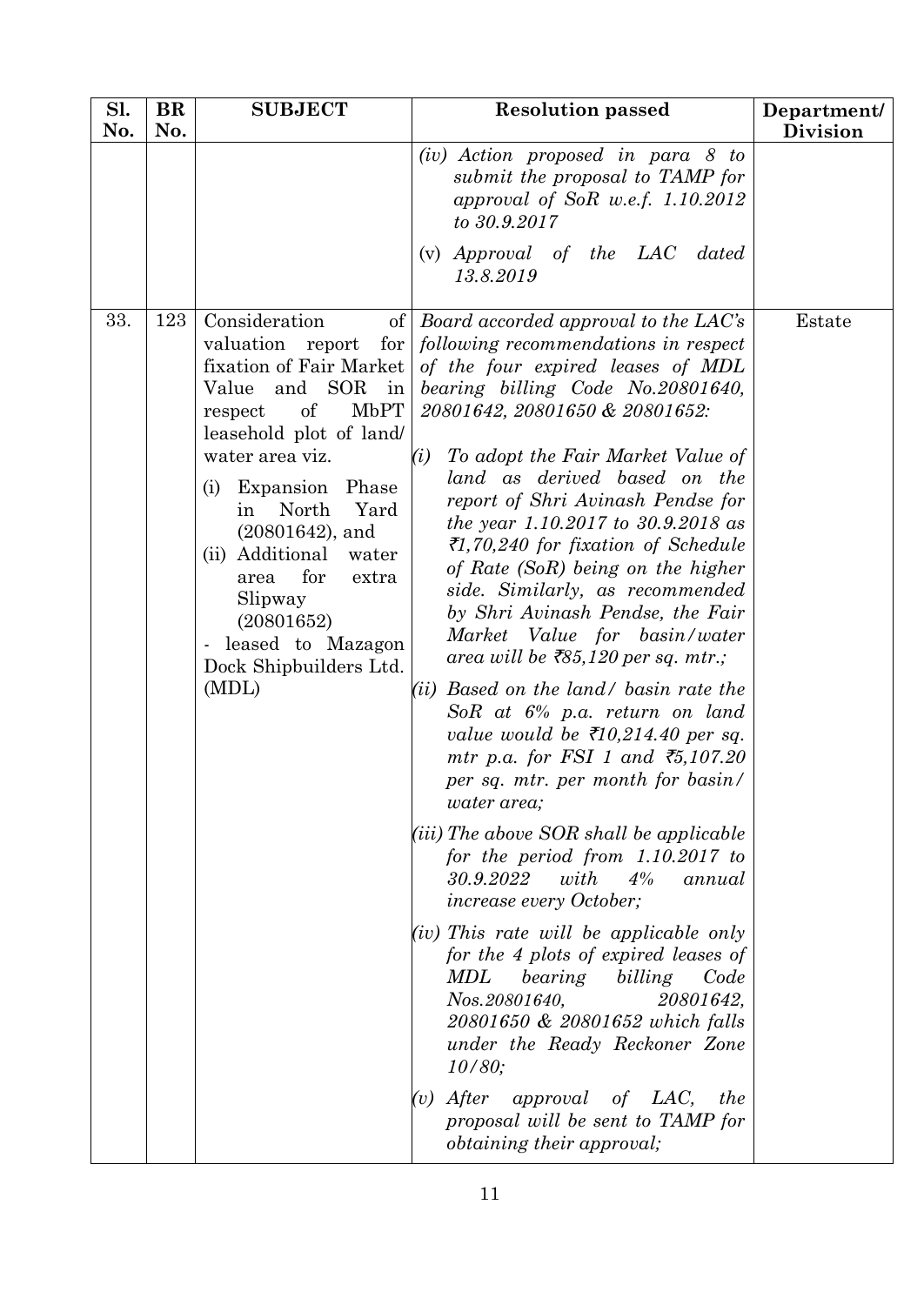| Sl.<br>No. | <b>BR</b><br>No. | <b>SUBJECT</b>                                                                                                                                                                                                                                                                                                                                                                                           | <b>Resolution passed</b>                                                                                                                                                                                                                                                                                                                                                                                                                                                                                                                                                                                                                                                                                                                                                                                                                                                                                                                                                                                                                                                                                                                                                                                                                                                                                                                                  | Department/<br><b>Division</b> |
|------------|------------------|----------------------------------------------------------------------------------------------------------------------------------------------------------------------------------------------------------------------------------------------------------------------------------------------------------------------------------------------------------------------------------------------------------|-----------------------------------------------------------------------------------------------------------------------------------------------------------------------------------------------------------------------------------------------------------------------------------------------------------------------------------------------------------------------------------------------------------------------------------------------------------------------------------------------------------------------------------------------------------------------------------------------------------------------------------------------------------------------------------------------------------------------------------------------------------------------------------------------------------------------------------------------------------------------------------------------------------------------------------------------------------------------------------------------------------------------------------------------------------------------------------------------------------------------------------------------------------------------------------------------------------------------------------------------------------------------------------------------------------------------------------------------------------|--------------------------------|
|            |                  |                                                                                                                                                                                                                                                                                                                                                                                                          | $(iv)$ Action proposed in para 8 to<br>submit the proposal to TAMP for<br>approval of SoR w.e.f. $1.10.2012$<br>to 30.9.2017                                                                                                                                                                                                                                                                                                                                                                                                                                                                                                                                                                                                                                                                                                                                                                                                                                                                                                                                                                                                                                                                                                                                                                                                                              |                                |
|            |                  |                                                                                                                                                                                                                                                                                                                                                                                                          | (v) Approval of the LAC dated<br>13.8.2019                                                                                                                                                                                                                                                                                                                                                                                                                                                                                                                                                                                                                                                                                                                                                                                                                                                                                                                                                                                                                                                                                                                                                                                                                                                                                                                |                                |
| 33.        | 123              | Consideration<br>of <sub>l</sub><br>valuation<br>for<br>report<br>fixation of Fair Market<br>and SOR<br>Value<br>in<br>MbPT<br>of<br>respect<br>leasehold plot of land/<br>water area viz.<br>Expansion Phase<br>(i)<br>North<br>Yard<br>in<br>$(20801642)$ , and<br>(ii) Additional<br>water<br>for<br>area<br>extra<br>Slipway<br>(20801652)<br>- leased to Mazagon<br>Dock Shipbuilders Ltd.<br>(MDL) | Board accorded approval to the LAC's<br>following recommendations in respect<br>of the four expired leases of MDL<br>bearing billing Code No. 20801640,<br>20801642, 20801650 & 20801652:<br>To adopt the Fair Market Value of<br>(i)<br>land as derived based on the<br>report of Shri Avinash Pendse for<br>the year 1.10.2017 to 30.9.2018 as<br>₹1,70,240 for fixation of Schedule<br>of Rate (SoR) being on the higher<br>side. Similarly, as recommended<br>by Shri Avinash Pendse, the Fair<br>Market Value for basin/water<br>area will be $\bar{z}85,120$ per sq. mtr.;<br>Based on the land/ basin rate the<br>(ii)<br>SoR at $6\%$ p.a. return on land<br>value would be $\bar{\tau}$ 10,214.40 per sq.<br>mtr p.a. for FSI 1 and $\overline{5,107.20}$<br>per sq. mtr. per month for basin/<br><i>water area</i> ;<br>(iii) The above SOR shall be applicable<br>for the period from $1.10.2017$ to<br>30.9.2022<br>with<br>$4\%$<br>annual<br><i>increase every October;</i><br>$(iv)$ This rate will be applicable only<br>for the 4 plots of expired leases of<br>MDL<br>bearing<br>billing<br>Code<br>Nos.20801640,<br>20801642,<br>20801650 & 20801652 which falls<br>under the Ready Reckoner Zone<br>10/80;<br>After<br><i>approval</i> of LAC,<br>the<br>(v)<br>proposal will be sent to TAMP for<br><i>obtaining their approval;</i> | Estate                         |